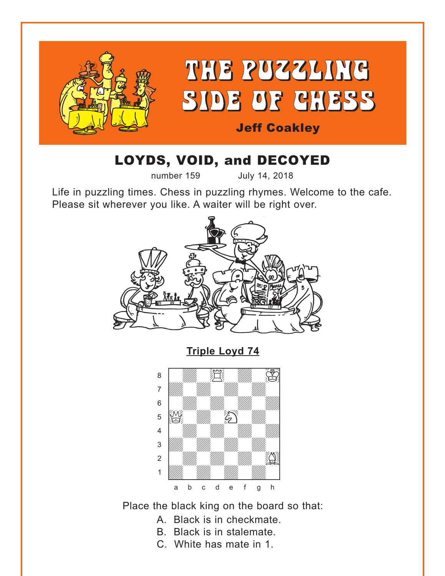<span id="page-0-0"></span>

# LOYDS, VOID, and DECOYED

number 159 July 14, 2018

Life in puzzling times. Chess in puzzling rhymes. Welcome to the cafe. Please sit wherever you like. A waiter will be right over.



**[Triple Loyd 74](#page-4-0)**



Place the black king on the board so that:

- A. Black is in checkmate.
- B. Black is in stalemate.
- C. White has mate in 1.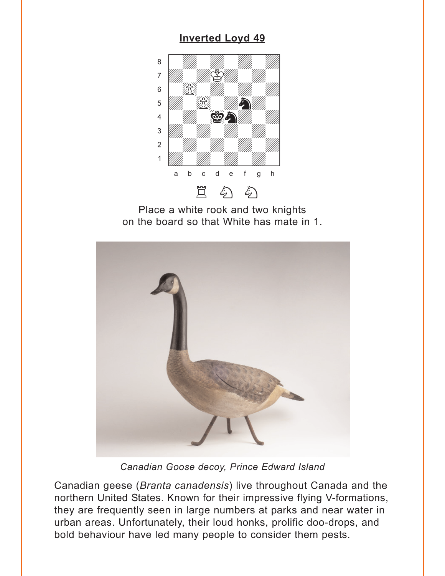## **[Inverted Loyd 49](#page-4-0)**

<span id="page-1-0"></span>

Place a white rook and two knights on the board so that White has mate in 1.



*Canadian Goose decoy, Prince Edward Island*

Canadian geese (*Branta canadensis*) live throughout Canada and the northern United States. Known for their impressive flying V-formations, they are frequently seen in large numbers at parks and near water in urban areas. Unfortunately, their loud honks, prolific doo-drops, and bold behaviour have led many people to consider them pests.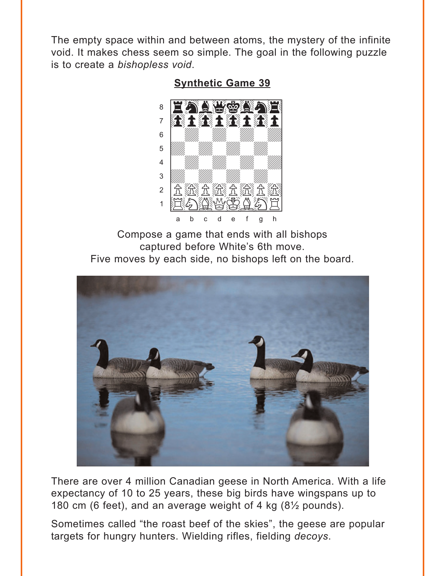<span id="page-2-0"></span>The empty space within and between atoms, the mystery of the infinite void. It makes chess seem so simple. The goal in the following puzzle is to create a bishopless void.

**Synthetic Game 39** 



Compose a game that ends with all bishops captured before White's 6th move. Five moves by each side, no bishops left on the board.



There are over 4 million Canadian geese in North America. With a life expectancy of 10 to 25 years, these big birds have wingspans up to 180 cm (6 feet), and an average weight of 4 kg (8<sup>1/2</sup> pounds).

Sometimes called "the roast beef of the skies", the geese are popular targets for hungry hunters. Wielding rifles, fielding decoys.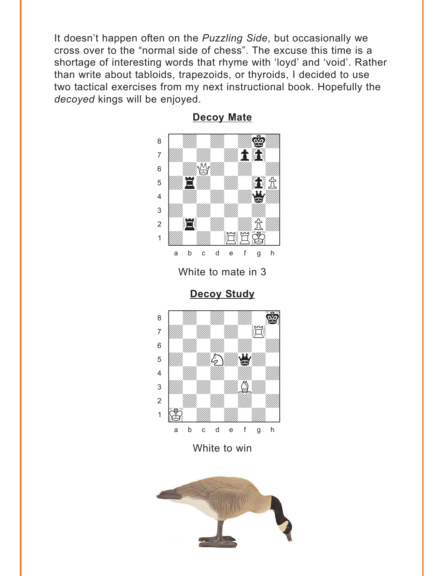<span id="page-3-0"></span>It doesn't happen often on the *Puzzling Side*, but occasionally we cross over to the "normal side of chess". The excuse this time is a shortage of interesting words that rhyme with 'loyd' and 'void'. Rather than write about tabloids, trapezoids, or thyroids, I decided to use two tactical exercises from my next instructional book. Hopefully the *decoyed* kings will be enjoyed.



**[Decoy Mate](#page-6-0)**

White to mate in 3

**[Decoy Study](#page-6-0)**



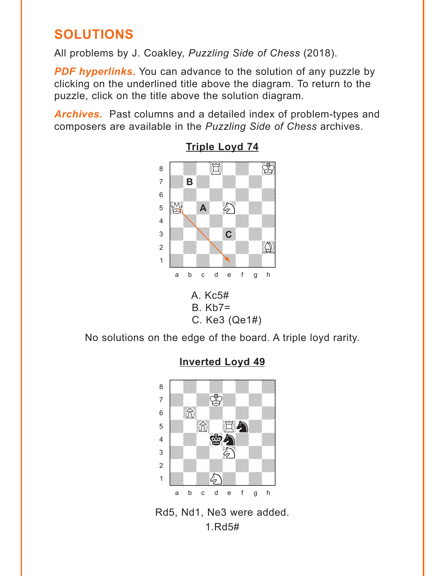## <span id="page-4-0"></span>**SOLUTIONS**

All problems by J. Coakley, *Puzzling Side of Chess* (2018).

**PDF hyperlinks.** You can advance to the solution of any puzzle by clicking on the underlined title above the diagram. To return to the puzzle, click on the title above the solution diagram.

*Archives***.** Past columns and a detailed index of problem-types and composers are available in the *Puzzling Side of Chess* archives.



**[Triple Loyd 74](#page-0-0)**  $\frac{m}{\sqrt{2}}$ 



No solutions on the edge of the board. A triple loyd rarity.



## **[Inverted Loyd 49](#page-1-0)**

Rd5, Nd1, Ne3 were added. 1.Rd5#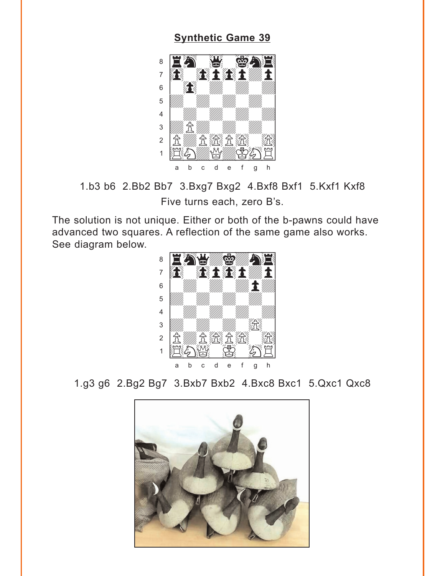#### **Synthetic Game 39**

<span id="page-5-0"></span>

1.b3 b6 2.Bb2 Bb7 3.Bxg7 Bxg2 4.Bxf8 Bxf1 5.Kxf1 Kxf8 Five turns each, zero B's.

The solution is not unique. Either or both of the b-pawns could have advanced two squares. A reflection of the same game also works. See diagram below.



1.g3 g6 2.Bg2 Bg7 3.Bxb7 Bxb2 4.Bxc8 Bxc1 5.Qxc1 Qxc8